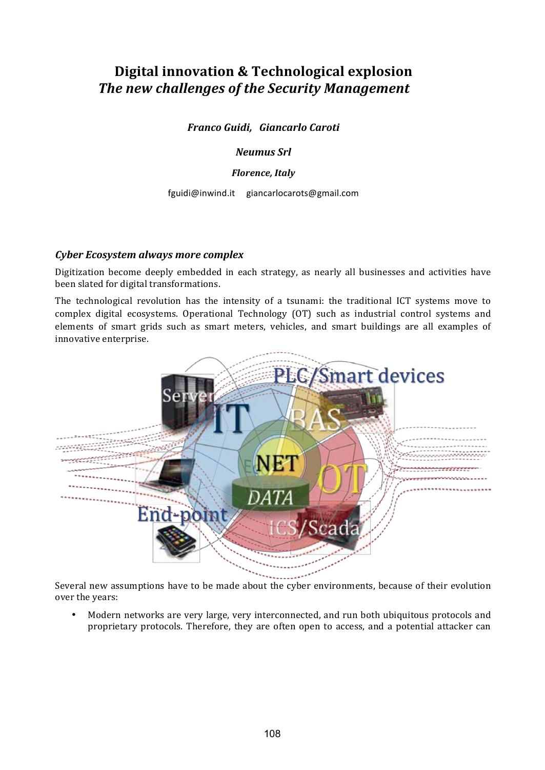# **Digital innovation & Technological explosion The new challenges of the Security Management**

*Franco Guidi, Giancarlo Caroti* 

*Neumus Srl* 

#### *Florence, Italy*

fguidi@inwind.it giancarlocarots@gmail.com

#### *Cyber Ecosystem always more complex*

Digitization become deeply embedded in each strategy, as nearly all businesses and activities have been slated for digital transformations.

The technological revolution has the intensity of a tsunami: the traditional ICT systems move to complex digital ecosystems. Operational Technology (OT) such as industrial control systems and elements of smart grids such as smart meters, vehicles, and smart buildings are all examples of innovative enterprise.



Several new assumptions have to be made about the cyber environments, because of their evolution over the years:

Modern networks are very large, very interconnected, and run both ubiquitous protocols and proprietary protocols. Therefore, they are often open to access, and a potential attacker can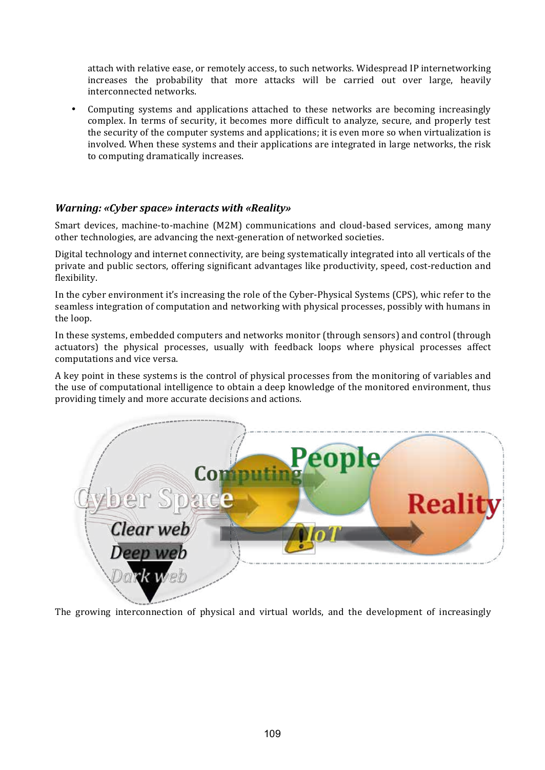attach with relative ease, or remotely access, to such networks. Widespread IP internetworking increases the probability that more attacks will be carried out over large, heavily interconnected networks.

Computing systems and applications attached to these networks are becoming increasingly complex. In terms of security, it becomes more difficult to analyze, secure, and properly test the security of the computer systems and applications; it is even more so when virtualization is involved. When these systems and their applications are integrated in large networks, the risk to computing dramatically increases.

## *Warning: «Cyber space» interacts with «Reality»*

Smart devices, machine-to-machine (M2M) communications and cloud-based services, among many other technologies, are advancing the next-generation of networked societies.

Digital technology and internet connectivity, are being systematically integrated into all verticals of the private and public sectors, offering significant advantages like productivity, speed, cost-reduction and flexibility.

In the cyber environment it's increasing the role of the Cyber-Physical Systems (CPS), whic refer to the seamless integration of computation and networking with physical processes, possibly with humans in the loop.

In these systems, embedded computers and networks monitor (through sensors) and control (through actuators) the physical processes, usually with feedback loops where physical processes affect computations and vice versa.

A key point in these systems is the control of physical processes from the monitoring of variables and the use of computational intelligence to obtain a deep knowledge of the monitored environment, thus providing timely and more accurate decisions and actions.



The growing interconnection of physical and virtual worlds, and the development of increasingly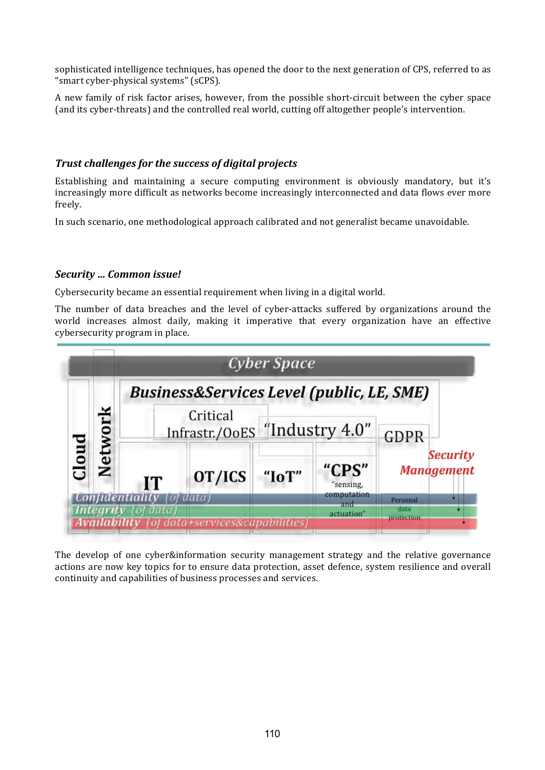sophisticated intelligence techniques, has opened the door to the next generation of CPS, referred to as "smart cyber-physical systems" (sCPS).

A new family of risk factor arises, however, from the possible short-circuit between the cyber space (and its cyber-threats) and the controlled real world, cutting off altogether people's intervention.

## **Trust challenges for the success of digital projects**

Establishing and maintaining a secure computing environment is obviously mandatory, but it's increasingly more difficult as networks become increasingly interconnected and data flows ever more freely. 

In such scenario, one methodological approach calibrated and not generalist became unavoidable.

## *Security … Common issue!*

Cybersecurity became an essential requirement when living in a digital world.

The number of data breaches and the level of cyber-attacks suffered by organizations around the world increases almost daily, making it imperative that every organization have an effective cybersecurity program in place.

|                |         |                                                      |                                 | Cyber Space    |                                   |                                      |  |
|----------------|---------|------------------------------------------------------|---------------------------------|----------------|-----------------------------------|--------------------------------------|--|
| $\overline{a}$ | Network | <b>Business&amp;Services Level (public, LE, SME)</b> |                                 |                |                                   |                                      |  |
|                |         | Critical<br>Infrastr./OoES                           |                                 | "Industry 4.0" |                                   | <b>GDPR</b>                          |  |
|                |         | IT                                                   | OT/ICS                          | "IoT"          | "CPS"<br>"sensing,<br>computation | <b>Security</b><br><b>Management</b> |  |
|                |         | fidentiality (of data)                               |                                 |                | and.                              | Personal<br>data                     |  |
|                |         |                                                      | (of data+services&capabilities) |                | actuation"                        | <b>protection</b>                    |  |

The develop of one cyber&information security management strategy and the relative governance actions are now key topics for to ensure data protection, asset defence, system resilience and overall continuity and capabilities of business processes and services.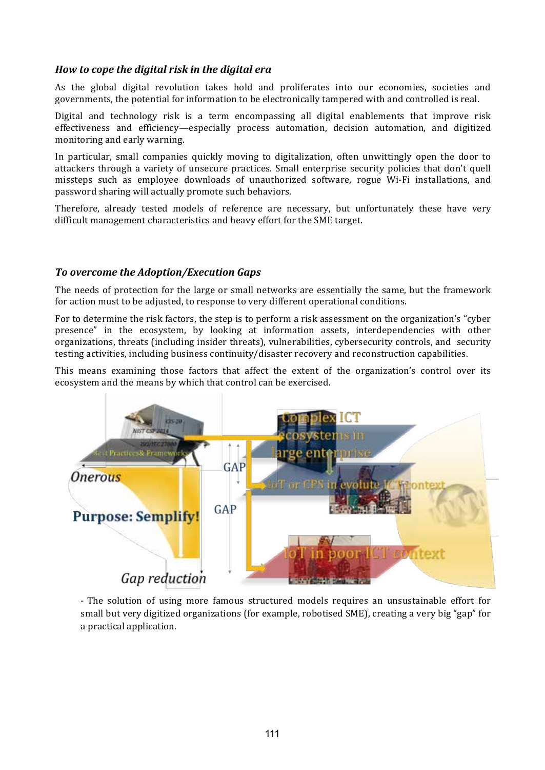# *How to cope the digital risk in the digital era*

As the global digital revolution takes hold and proliferates into our economies, societies and governments, the potential for information to be electronically tampered with and controlled is real.

Digital and technology risk is a term encompassing all digital enablements that improve risk effectiveness and efficiency—especially process automation, decision automation, and digitized monitoring and early warning.

In particular, small companies quickly moving to digitalization, often unwittingly open the door to attackers through a variety of unsecure practices. Small enterprise security policies that don't quell missteps such as employee downloads of unauthorized software, rogue Wi-Fi installations, and password sharing will actually promote such behaviors.

Therefore, already tested models of reference are necessary, but unfortunately these have very difficult management characteristics and heavy effort for the SME target.

#### **To** overcome the Adoption/Execution Gaps

The needs of protection for the large or small networks are essentially the same, but the framework for action must to be adjusted, to response to very different operational conditions.

For to determine the risk factors, the step is to perform a risk assessment on the organization's "cyber presence" in the ecosystem, by looking at information assets, interdependencies with other organizations, threats (including insider threats), vulnerabilities, cybersecurity controls, and security testing activities, including business continuity/disaster recovery and reconstruction capabilities.

This means examining those factors that affect the extent of the organization's control over its ecosystem and the means by which that control can be exercised.



- The solution of using more famous structured models requires an unsustainable effort for small but very digitized organizations (for example, robotised SME), creating a very big "gap" for a practical application.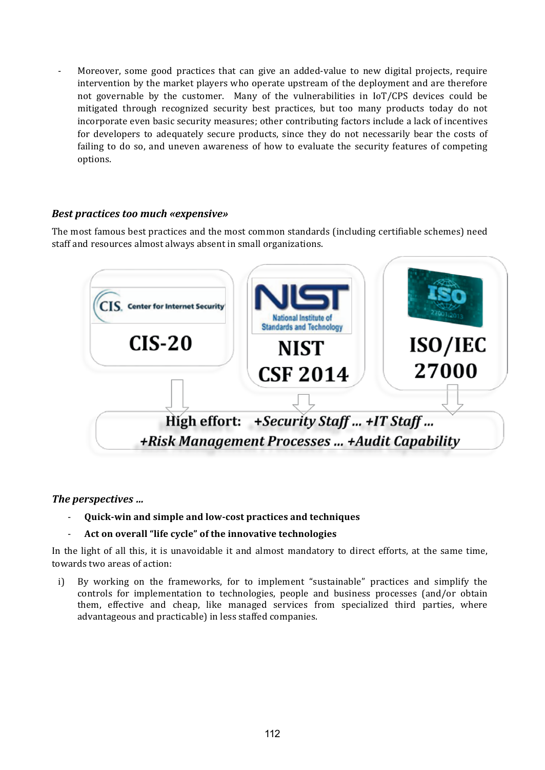Moreover, some good practices that can give an added-value to new digital projects, require intervention by the market players who operate upstream of the deployment and are therefore not governable by the customer. Many of the vulnerabilities in  $I\sigma$  (CPS devices could be mitigated through recognized security best practices, but too many products today do not incorporate even basic security measures; other contributing factors include a lack of incentives for developers to adequately secure products, since they do not necessarily bear the costs of failing to do so, and uneven awareness of how to evaluate the security features of competing options. 

## **Best practices too much «expensive»**

The most famous best practices and the most common standards (including certifiable schemes) need staff and resources almost always absent in small organizations.



# The *perspectives* ...

**Quick-win and simple and low-cost practices and techniques** 

#### Act on overall "life cycle" of the innovative technologies

In the light of all this, it is unavoidable it and almost mandatory to direct efforts, at the same time, towards two areas of action:

i) By working on the frameworks, for to implement "sustainable" practices and simplify the controls for implementation to technologies, people and business processes (and/or obtain them, effective and cheap, like managed services from specialized third parties, where advantageous and practicable) in less staffed companies.